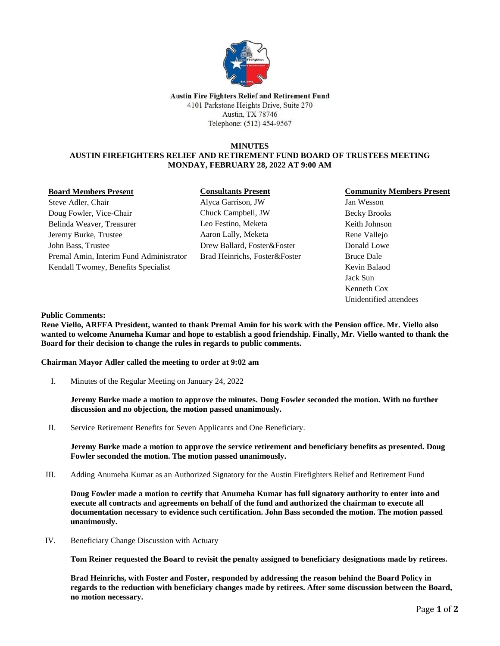

Austin Fire Fighters Relief and Retirement Fund 4101 Parkstone Heights Drive, Suite 270 Austin, TX 78746 Telephone: (512) 454-9567

### **MINUTES AUSTIN FIREFIGHTERS RELIEF AND RETIREMENT FUND BOARD OF TRUSTEES MEETING MONDAY, FEBRUARY 28, 2022 AT 9:00 AM**

#### **Board Members Present**

Steve Adler, Chair Doug Fowler, Vice-Chair Belinda Weaver, Treasurer Jeremy Burke, Trustee John Bass, Trustee Premal Amin, Interim Fund Administrator Kendall Twomey, Benefits Specialist

# **Consultants Present**

Alyca Garrison, JW Chuck Campbell, JW Leo Festino, Meketa Aaron Lally, Meketa Drew Ballard, Foster&Foster Brad Heinrichs, Foster&Foster

### **Community Members Present**

Jan Wesson Becky Brooks Keith Johnson Rene Vallejo Donald Lowe Bruce Dale Kevin Balaod Jack Sun Kenneth Cox Unidentified attendees

**Public Comments:**

**Rene Viello, ARFFA President, wanted to thank Premal Amin for his work with the Pension office. Mr. Viello also wanted to welcome Anumeha Kumar and hope to establish a good friendship. Finally, Mr. Viello wanted to thank the Board for their decision to change the rules in regards to public comments.**

## **Chairman Mayor Adler called the meeting to order at 9:02 am**

I. Minutes of the Regular Meeting on January 24, 2022

**Jeremy Burke made a motion to approve the minutes. Doug Fowler seconded the motion. With no further discussion and no objection, the motion passed unanimously.**

II. Service Retirement Benefits for Seven Applicants and One Beneficiary.

**Jeremy Burke made a motion to approve the service retirement and beneficiary benefits as presented. Doug Fowler seconded the motion. The motion passed unanimously.** 

III. Adding Anumeha Kumar as an Authorized Signatory for the Austin Firefighters Relief and Retirement Fund

**Doug Fowler made a motion to certify that Anumeha Kumar has full signatory authority to enter into and execute all contracts and agreements on behalf of the fund and authorized the chairman to execute all documentation necessary to evidence such certification. John Bass seconded the motion. The motion passed unanimously.** 

IV. Beneficiary Change Discussion with Actuary

**Tom Reiner requested the Board to revisit the penalty assigned to beneficiary designations made by retirees.**

**Brad Heinrichs, with Foster and Foster, responded by addressing the reason behind the Board Policy in regards to the reduction with beneficiary changes made by retirees. After some discussion between the Board, no motion necessary.**